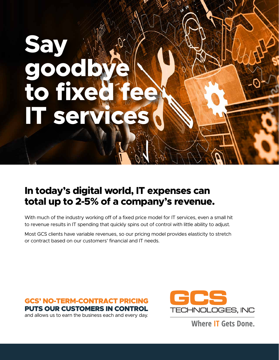# **Say goodbye to fixed fee IT ser**

## **In today's digital world, IT expenses can total up to 2-5% of a company's revenue.**

With much of the industry working off of a fixed price model for IT services, even a small hit to revenue results in IT spending that quickly spins out of control with little ability to adjust.

Most GCS clients have variable revenues, so our pricing model provides elasticity to stretch or contract based on our customers' financial and IT needs.





**Where IT Gets Done.**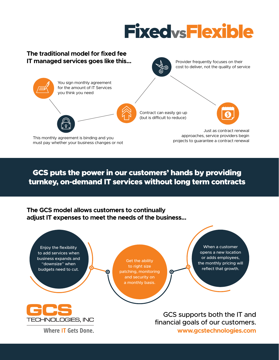# FixedvsFlexible



GCS puts the power in our customers' hands by providing turnkey, on-demand IT services without long term contracts

## **The GCS model allows customers to continually adjust IT expenses to meet the needs of the business...**

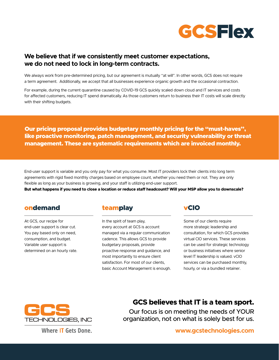

## **We believe that if we consistently meet customer expectations, we do not need to lock in long-term contracts.**

We always work from pre-determined pricing, but our agreement is mutually "at will". In other words, GCS does not require a term agreement. Additionally, we accept that all businesses experience organic growth and the occasional contraction.

For example, during the current quarantine caused by COVID-19 GCS quickly scaled down cloud and IT services and costs for affected customers, reducing IT spend dramatically. As those customers return to business their IT costs will scale directly with their shifting budgets.

Our pricing proposal provides budgetary monthly pricing for the "must-haves", like proactive monitoring, patch management, and security vulnerability or threat management. These are systematic requirements which are invoiced monthly.

End-user support is variable and you only pay for what you consume. Most IT providers lock their clients into long term agreements with rigid fixed monthly charges based on employee count, whether you need them or not. They are only flexible as long as your business is growing, and your staff is utilizing end-user support.

**But what happens if you need to close a location or reduce staff headcount? Will your MSP allow you to downscale?**

## ondemand teamplay vCIO

At GCS, our recipe for end-user support is clear cut. You pay based only on need, consumption, and budget. Variable user support is determined on an hourly rate.

In the spirit of team play, every account at GCS is account managed via a regular communication cadence. This allows GCS to provide budgetary proposals, provide proactive response and guidance, and most importantly to ensure client satisfaction. For most of our clients, basic Account Management is enough.

Some of our clients require more strategic leadership and consultation, for which GCS provides virtual CIO services. These services can be used for strategic technology or business initiatives where senior level IT leadership is valued. vCIO services can be purchased monthly, hourly, or via a bundled retainer.



## **GCS believes that IT is a team sport.**

Our focus is on meeting the needs of YOUR organization, not on what is solely best for us.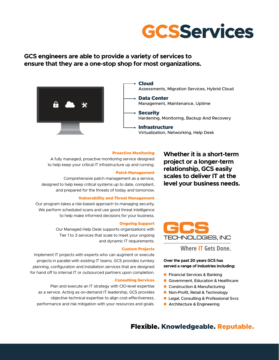

## **GCS engineers are able to provide a variety of services to ensure that they are a one-stop shop for most organizations.**



#### Proactive Monitoring

A fully managed, proactive monitoring service designed to help keep your critical IT infrastructure up and running.

### Patch Management

Comprehensive patch management as a service, designed to help keep critical systems up to date, compliant, and prepared for the threats of today and tomorrow.

#### Vulnerability and Threat Management

Our program takes a risk-based approach to managing security. We perform scheduled scans and use good threat intelligence to help make informed decisions for your business.

### Ongoing Support

Our Managed Help Desk supports organizations with Tier 1 to 3 services that scale to meet your ongoing and dynamic IT requirements.

#### Custom Projects

Implement IT projects with experts who can augment or execute projects in parallel with existing IT teams. GCS provides turnkey planning, configuration and installation services that are designed for hand off to internal IT or outsourced partners upon completion.

#### Consulting Services

Plan and execute an IT strategy with CIO-level expertise as a service. Acting as on-demand IT leadership, GCS provides objective technical expertise to align cost-effectiveness, performance and risk mitigation with your resources and goals. **Whether it is a short-term project or a longer-term relationship, GCS easily scales to deliver IT at the level your business needs.**



**Where IT Gets Done.** 

### **Over the past 20 years GCS has served a range of industries including:**

- **Financial Services & Banking**
- Government, Education & Healthcare
- Construction & Manufacturing
- Non-Profit, Retail & Technology
- **Legal, Consulting & Professional Svcs**
- **Architecture & Engineering**

## Flexible. Knowledgeable. Reputable.